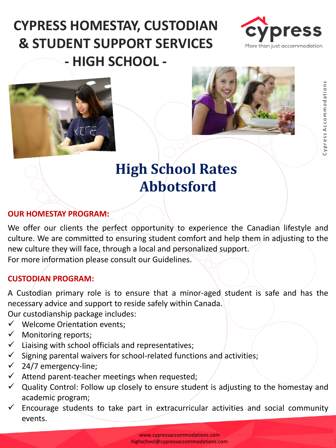# **CYPRESS HOMESTAY, CUSTODIAN & STUDENT SUPPORT SERVICES - HIGH SCHOOL -**







## **High School Rates Abbotsford**

#### **OUR HOMESTAY PROGRAM:**

We offer our clients the perfect opportunity to experience the Canadian lifestyle and culture. We are committed to ensuring student comfort and help them in adjusting to the new culture they will face, through a local and personalized support. For more information please consult our Guidelines.

#### **CUSTODIAN PROGRAM:**

A Custodian primary role is to ensure that a minor-aged student is safe and has the necessary advice and support to reside safely within Canada.

Our custodianship package includes:

- ✓ Welcome Orientation events;
- $\checkmark$  Monitoring reports;
- $\checkmark$  Liaising with school officials and representatives;
- $\checkmark$  Signing parental waivers for school-related functions and activities;
- $\checkmark$  24/7 emergency-line;
- $\checkmark$  Attend parent-teacher meetings when requested;
- $\checkmark$  Quality Control: Follow up closely to ensure student is adjusting to the homestay and academic program;
- $\checkmark$  Encourage students to take part in extracurricular activities and social community events.

www.cypressaccommodations.com highschool@cypressaccommodations.com